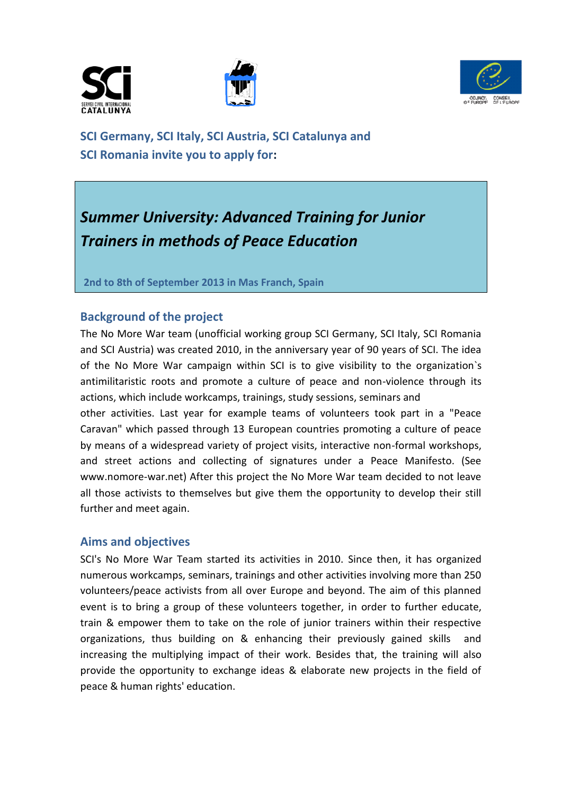





**SCI Germany, SCI Italy, SCI Austria, SCI Catalunya and SCI Romania invite you to apply for:** 

# *Summer University: Advanced Training for Junior Trainers in methods of Peace Education*

**2nd to 8th of September 2013 in Mas Franch, Spain** 

# **Background of the project**

The No More War team (unofficial working group SCI Germany, SCI Italy, SCI Romania and SCI Austria) was created 2010, in the anniversary year of 90 years of SCI. The idea of the No More War campaign within SCI is to give visibility to the organization`s antimilitaristic roots and promote a culture of peace and non-violence through its actions, which include workcamps, trainings, study sessions, seminars and

other activities. Last year for example teams of volunteers took part in a "Peace Caravan" which passed through 13 European countries promoting a culture of peace by means of a widespread variety of project visits, interactive non-formal workshops, and street actions and collecting of signatures under a Peace Manifesto. (See www.nomore-war.net) After this project the No More War team decided to not leave all those activists to themselves but give them the opportunity to develop their still further and meet again.

### **Aims and objectives**

SCI's No More War Team started its activities in 2010. Since then, it has organized numerous workcamps, seminars, trainings and other activities involving more than 250 volunteers/peace activists from all over Europe and beyond. The aim of this planned event is to bring a group of these volunteers together, in order to further educate, train & empower them to take on the role of junior trainers within their respective organizations, thus building on & enhancing their previously gained skills and increasing the multiplying impact of their work. Besides that, the training will also provide the opportunity to exchange ideas & elaborate new projects in the field of peace & human rights' education.